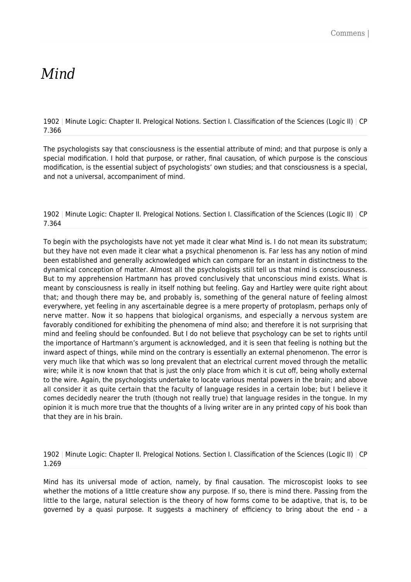## *Mind*

1902 | Minute Logic: Chapter II. Prelogical Notions. Section I. Classification of the Sciences (Logic II) | CP 7.366

The psychologists say that consciousness is the essential attribute of mind; and that purpose is only a special modification. I hold that purpose, or rather, final causation, of which purpose is the conscious modification, is the essential subject of psychologists' own studies; and that consciousness is a special, and not a universal, accompaniment of mind.

## 1902 | Minute Logic: Chapter II. Prelogical Notions. Section I. Classification of the Sciences (Logic II) | CP 7.364

To begin with the psychologists have not yet made it clear what Mind is. I do not mean its substratum; but they have not even made it clear what a psychical phenomenon is. Far less has any notion of mind been established and generally acknowledged which can compare for an instant in distinctness to the dynamical conception of matter. Almost all the psychologists still tell us that mind is consciousness. But to my apprehension Hartmann has proved conclusively that unconscious mind exists. What is meant by consciousness is really in itself nothing but feeling. Gay and Hartley were quite right about that; and though there may be, and probably is, something of the general nature of feeling almost everywhere, yet feeling in any ascertainable degree is a mere property of protoplasm, perhaps only of nerve matter. Now it so happens that biological organisms, and especially a nervous system are favorably conditioned for exhibiting the phenomena of mind also; and therefore it is not surprising that mind and feeling should be confounded. But I do not believe that psychology can be set to rights until the importance of Hartmann's argument is acknowledged, and it is seen that feeling is nothing but the inward aspect of things, while mind on the contrary is essentially an external phenomenon. The error is very much like that which was so long prevalent that an electrical current moved through the metallic wire; while it is now known that that is just the only place from which it is cut off, being wholly external to the wire. Again, the psychologists undertake to locate various mental powers in the brain; and above all consider it as quite certain that the faculty of language resides in a certain lobe; but I believe it comes decidedly nearer the truth (though not really true) that language resides in the tongue. In my opinion it is much more true that the thoughts of a living writer are in any printed copy of his book than that they are in his brain.

1902 | Minute Logic: Chapter II. Prelogical Notions. Section I. Classification of the Sciences (Logic II) | CP 1.269

Mind has its universal mode of action, namely, by final causation. The microscopist looks to see whether the motions of a little creature show any purpose. If so, there is mind there. Passing from the little to the large, natural selection is the theory of how forms come to be adaptive, that is, to be governed by a quasi purpose. It suggests a machinery of efficiency to bring about the end - a